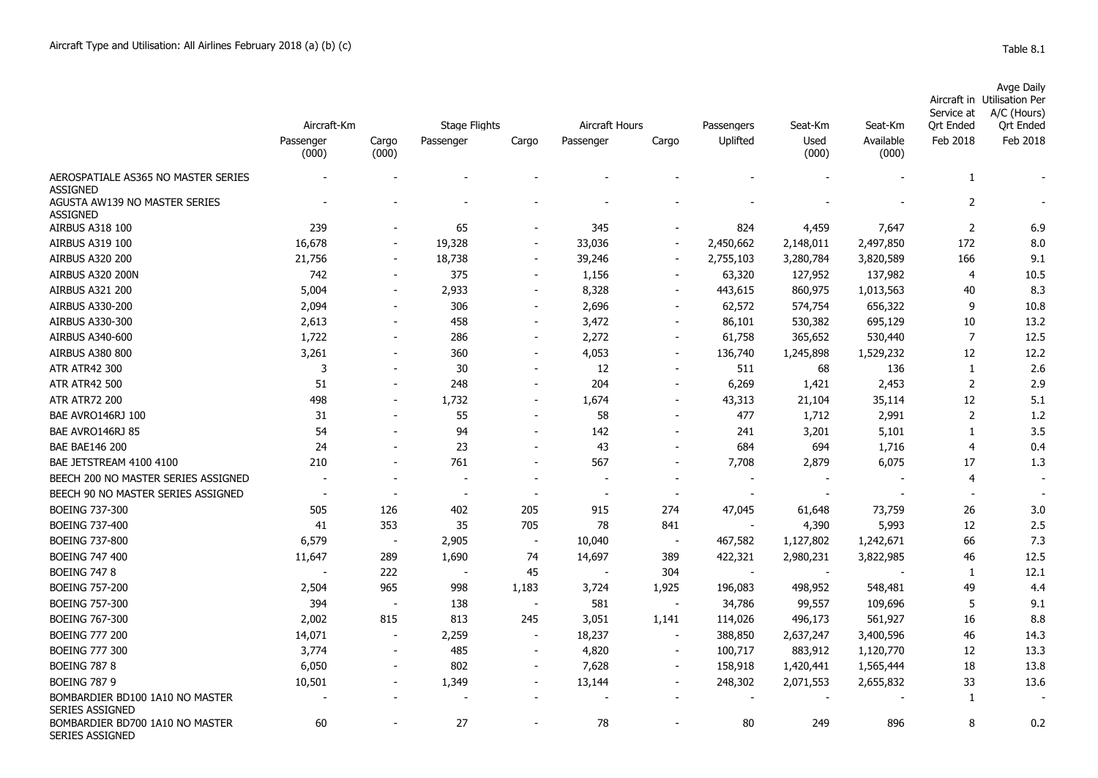|            | Avge Daily                  |
|------------|-----------------------------|
|            | Aircraft in Utilisation Per |
| Service at | A/C (Hours)                 |

|                                                        | Aircraft-Km        |                          | <b>Stage Flights</b> |                          | Aircraft Hours |                          | Passengers               | Seat-Km       | Seat-Km            | sei vice al<br><b>Qrt Ended</b> | $A/C$ (Figure)<br><b>Qrt Ended</b> |
|--------------------------------------------------------|--------------------|--------------------------|----------------------|--------------------------|----------------|--------------------------|--------------------------|---------------|--------------------|---------------------------------|------------------------------------|
|                                                        | Passenger<br>(000) | Cargo<br>(000)           | Passenger            | Cargo                    | Passenger      | Cargo                    | Uplifted                 | Used<br>(000) | Available<br>(000) | Feb 2018                        | Feb 2018                           |
| AEROSPATIALE AS365 NO MASTER SERIES<br><b>ASSIGNED</b> |                    |                          |                      |                          |                |                          |                          |               |                    | 1                               |                                    |
| AGUSTA AW139 NO MASTER SERIES<br><b>ASSIGNED</b>       |                    |                          |                      |                          |                |                          |                          |               |                    | $\overline{2}$                  |                                    |
| <b>AIRBUS A318 100</b>                                 | 239                |                          | 65                   |                          | 345            |                          | 824                      | 4,459         | 7,647              | $\overline{2}$                  | 6.9                                |
| <b>AIRBUS A319 100</b>                                 | 16,678             |                          | 19,328               |                          | 33,036         |                          | 2,450,662                | 2,148,011     | 2,497,850          | 172                             | 8.0                                |
| <b>AIRBUS A320 200</b>                                 | 21,756             |                          | 18,738               | $\overline{\phantom{a}}$ | 39,246         |                          | 2,755,103                | 3,280,784     | 3,820,589          | 166                             | 9.1                                |
| AIRBUS A320 200N                                       | 742                |                          | 375                  | $\overline{\phantom{a}}$ | 1,156          |                          | 63,320                   | 127,952       | 137,982            | 4                               | 10.5                               |
| <b>AIRBUS A321 200</b>                                 | 5,004              |                          | 2,933                |                          | 8,328          |                          | 443,615                  | 860,975       | 1,013,563          | 40                              | 8.3                                |
| <b>AIRBUS A330-200</b>                                 | 2,094              |                          | 306                  | $\overline{\phantom{a}}$ | 2,696          |                          | 62,572                   | 574,754       | 656,322            | 9                               | 10.8                               |
| AIRBUS A330-300                                        | 2,613              |                          | 458                  |                          | 3,472          |                          | 86,101                   | 530,382       | 695,129            | 10                              | 13.2                               |
| AIRBUS A340-600                                        | 1,722              |                          | 286                  |                          | 2,272          |                          | 61,758                   | 365,652       | 530,440            | $\overline{7}$                  | 12.5                               |
| <b>AIRBUS A380 800</b>                                 | 3,261              |                          | 360                  |                          | 4,053          |                          | 136,740                  | 1,245,898     | 1,529,232          | 12                              | 12.2                               |
| <b>ATR ATR42 300</b>                                   | 3                  |                          | 30                   |                          | 12             |                          | 511                      | 68            | 136                | 1                               | 2.6                                |
| <b>ATR ATR42 500</b>                                   | 51                 |                          | 248                  |                          | 204            |                          | 6,269                    | 1,421         | 2,453              | $\overline{2}$                  | 2.9                                |
| <b>ATR ATR72 200</b>                                   | 498                |                          | 1,732                |                          | 1,674          |                          | 43,313                   | 21,104        | 35,114             | 12                              | 5.1                                |
| BAE AVRO146RJ 100                                      | 31                 |                          | 55                   |                          | 58             |                          | 477                      | 1,712         | 2,991              | $\overline{2}$                  | 1.2                                |
| BAE AVRO146RJ 85                                       | 54                 |                          | 94                   |                          | 142            |                          | 241                      | 3,201         | 5,101              | $\mathbf{1}$                    | 3.5                                |
| <b>BAE BAE146 200</b>                                  | 24                 |                          | 23                   |                          | 43             |                          | 684                      | 694           | 1,716              | $\overline{4}$                  | 0.4                                |
| BAE JETSTREAM 4100 4100                                | 210                |                          | 761                  |                          | 567            |                          | 7,708                    | 2,879         | 6,075              | 17                              | 1.3                                |
| BEECH 200 NO MASTER SERIES ASSIGNED                    |                    |                          |                      |                          |                |                          |                          |               |                    | $\overline{4}$                  |                                    |
| BEECH 90 NO MASTER SERIES ASSIGNED                     |                    |                          |                      |                          |                |                          |                          |               |                    | $\overline{\phantom{a}}$        |                                    |
| <b>BOEING 737-300</b>                                  | 505                | 126                      | 402                  | 205                      | 915            | 274                      | 47,045                   | 61,648        | 73,759             | 26                              | 3.0                                |
| <b>BOEING 737-400</b>                                  | 41                 | 353                      | 35                   | 705                      | 78             | 841                      |                          | 4,390         | 5,993              | 12                              | 2.5                                |
| <b>BOEING 737-800</b>                                  | 6,579              | $\overline{\phantom{a}}$ | 2,905                | $\overline{\phantom{a}}$ | 10,040         | $\overline{\phantom{a}}$ | 467,582                  | 1,127,802     | 1,242,671          | 66                              | 7.3                                |
| <b>BOEING 747 400</b>                                  | 11,647             | 289                      | 1,690                | 74                       | 14,697         | 389                      | 422,321                  | 2,980,231     | 3,822,985          | 46                              | 12.5                               |
| <b>BOEING 747 8</b>                                    |                    | 222                      |                      | 45                       |                | 304                      | $\overline{\phantom{a}}$ |               |                    | 1                               | 12.1                               |
| <b>BOEING 757-200</b>                                  | 2,504              | 965                      | 998                  | 1,183                    | 3,724          | 1,925                    | 196,083                  | 498,952       | 548,481            | 49                              | 4.4                                |
| <b>BOEING 757-300</b>                                  | 394                | $\overline{\phantom{a}}$ | 138                  | $\overline{\phantom{a}}$ | 581            | $\sim$                   | 34,786                   | 99,557        | 109,696            | 5                               | 9.1                                |
| <b>BOEING 767-300</b>                                  | 2,002              | 815                      | 813                  | 245                      | 3,051          | 1,141                    | 114,026                  | 496,173       | 561,927            | 16                              | 8.8                                |
| <b>BOEING 777 200</b>                                  | 14,071             |                          | 2,259                | $\overline{\phantom{a}}$ | 18,237         |                          | 388,850                  | 2,637,247     | 3,400,596          | 46                              | 14.3                               |
| <b>BOEING 777 300</b>                                  | 3,774              |                          | 485                  | $\overline{\phantom{a}}$ | 4,820          |                          | 100,717                  | 883,912       | 1,120,770          | 12                              | 13.3                               |
| <b>BOEING 787 8</b>                                    | 6,050              |                          | 802                  | $\overline{\phantom{a}}$ | 7,628          |                          | 158,918                  | 1,420,441     | 1,565,444          | 18                              | 13.8                               |
| <b>BOEING 787 9</b>                                    | 10,501             |                          | 1,349                | $\overline{\phantom{a}}$ | 13,144         |                          | 248,302                  | 2,071,553     | 2,655,832          | 33                              | 13.6                               |
| BOMBARDIER BD100 1A10 NO MASTER<br>SERIES ASSIGNED     |                    |                          |                      |                          |                |                          |                          |               |                    | 1                               |                                    |
| BOMBARDIER BD700 1A10 NO MASTER<br>SERIES ASSIGNED     | 60                 |                          | 27                   |                          | 78             |                          | 80                       | 249           | 896                | 8                               | 0.2                                |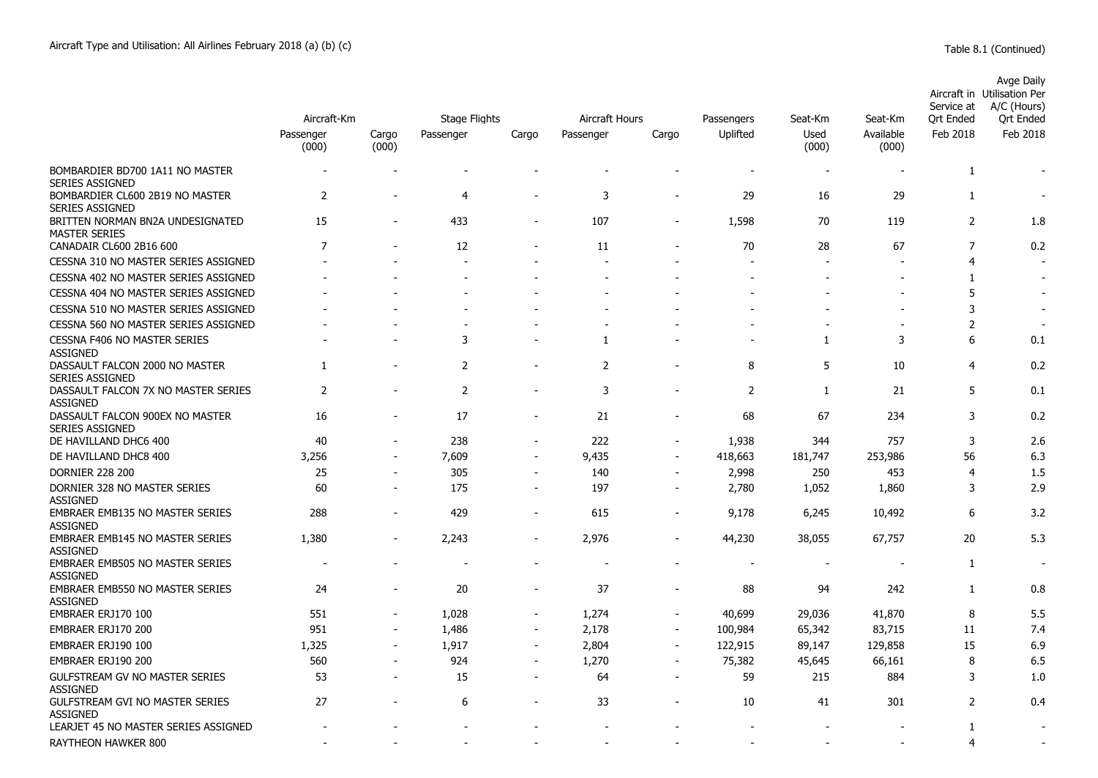|                                                           | Aircraft-Km        | <b>Stage Flights</b> |                | Aircraft Hours           |           | Passengers               | Seat-Km  | Seat-Km                  | Service at<br>Ort Ended | <b>Avge Daily</b><br>Aircraft in Utilisation Per<br>A/C (Hours)<br><b>Qrt Ended</b> |                |
|-----------------------------------------------------------|--------------------|----------------------|----------------|--------------------------|-----------|--------------------------|----------|--------------------------|-------------------------|-------------------------------------------------------------------------------------|----------------|
|                                                           | Passenger<br>(000) | Cargo<br>(000)       | Passenger      | Cargo                    | Passenger | Cargo                    | Uplifted | Used<br>(000)            | Available<br>(000)      | Feb 2018                                                                            | Feb 2018       |
| BOMBARDIER BD700 1A11 NO MASTER<br><b>SERIES ASSIGNED</b> |                    |                      |                |                          |           |                          |          | $\overline{\phantom{a}}$ |                         | $\mathbf{1}$                                                                        |                |
| BOMBARDIER CL600 2B19 NO MASTER<br>SERIES ASSIGNED        | $\overline{2}$     |                      | $\overline{4}$ |                          | 3         |                          | 29       | 16                       | 29                      | $\mathbf{1}$                                                                        |                |
| BRITTEN NORMAN BN2A UNDESIGNATED<br><b>MASTER SERIES</b>  | 15                 |                      | 433            | $\overline{\phantom{0}}$ | 107       |                          | 1,598    | 70                       | 119                     | $\overline{2}$                                                                      | 1.8            |
| CANADAIR CL600 2B16 600                                   | $\overline{7}$     |                      | 12             |                          | 11        |                          | 70       | 28                       | 67                      | 7                                                                                   | 0.2            |
| CESSNA 310 NO MASTER SERIES ASSIGNED                      |                    |                      |                |                          |           |                          |          |                          |                         | $\overline{4}$                                                                      | $\overline{a}$ |
| CESSNA 402 NO MASTER SERIES ASSIGNED                      |                    |                      |                |                          |           |                          |          |                          |                         | 1                                                                                   |                |
| CESSNA 404 NO MASTER SERIES ASSIGNED                      |                    |                      |                |                          |           |                          |          |                          |                         | 5                                                                                   |                |
| CESSNA 510 NO MASTER SERIES ASSIGNED                      |                    |                      |                |                          |           |                          |          |                          |                         | 3                                                                                   |                |
| CESSNA 560 NO MASTER SERIES ASSIGNED                      |                    |                      |                |                          |           |                          |          |                          |                         | $\overline{2}$                                                                      |                |
| CESSNA F406 NO MASTER SERIES<br><b>ASSIGNED</b>           |                    |                      | 3              |                          | 1         |                          |          | 1                        | 3                       | 6                                                                                   | 0.1            |
| DASSAULT FALCON 2000 NO MASTER<br><b>SERIES ASSIGNED</b>  | 1                  |                      | 2              | $\overline{\phantom{0}}$ | 2         |                          | 8        | 5                        | 10                      | $\overline{4}$                                                                      | 0.2            |
| DASSAULT FALCON 7X NO MASTER SERIES<br><b>ASSIGNED</b>    | $\overline{2}$     |                      | 2              |                          | 3         |                          | 2        | 1                        | 21                      | 5                                                                                   | 0.1            |
| DASSAULT FALCON 900EX NO MASTER<br><b>SERIES ASSIGNED</b> | 16                 |                      | 17             | $\overline{a}$           | 21        | ÷,                       | 68       | 67                       | 234                     | 3                                                                                   | 0.2            |
| DE HAVILLAND DHC6 400                                     | 40                 | $\blacksquare$       | 238            | $\blacksquare$           | 222       | ÷,                       | 1,938    | 344                      | 757                     | 3                                                                                   | 2.6            |
| DE HAVILLAND DHC8 400                                     | 3,256              | ÷,                   | 7,609          | $\overline{\phantom{a}}$ | 9,435     | ÷,                       | 418,663  | 181,747                  | 253,986                 | 56                                                                                  | 6.3            |
| <b>DORNIER 228 200</b>                                    | 25                 |                      | 305            | $\blacksquare$           | 140       | ÷,                       | 2,998    | 250                      | 453                     | $\overline{4}$                                                                      | 1.5            |
| DORNIER 328 NO MASTER SERIES<br><b>ASSIGNED</b>           | 60                 | ÷,                   | 175            | $\overline{\phantom{a}}$ | 197       | ÷,                       | 2,780    | 1,052                    | 1,860                   | 3                                                                                   | 2.9            |
| <b>EMBRAER EMB135 NO MASTER SERIES</b><br><b>ASSIGNED</b> | 288                | $\sim$               | 429            | $\blacksquare$           | 615       | $\sim$                   | 9,178    | 6,245                    | 10,492                  | 6                                                                                   | 3.2            |
| <b>EMBRAER EMB145 NO MASTER SERIES</b><br><b>ASSIGNED</b> | 1,380              |                      | 2,243          |                          | 2,976     |                          | 44,230   | 38,055                   | 67,757                  | 20                                                                                  | 5.3            |
| <b>EMBRAER EMB505 NO MASTER SERIES</b><br><b>ASSIGNED</b> |                    |                      |                |                          |           |                          |          |                          |                         | $\mathbf{1}$                                                                        |                |
| EMBRAER EMB550 NO MASTER SERIES<br><b>ASSIGNED</b>        | 24                 |                      | 20             |                          | 37        |                          | 88       | 94                       | 242                     | 1                                                                                   | 0.8            |
| EMBRAER ERJ170 100                                        | 551                |                      | 1,028          | $\overline{a}$           | 1,274     |                          | 40,699   | 29,036                   | 41,870                  | 8                                                                                   | 5.5            |
| EMBRAER ERJ170 200                                        | 951                | ٠                    | 1,486          | $\blacksquare$           | 2,178     | $\blacksquare$           | 100,984  | 65,342                   | 83,715                  | 11                                                                                  | 7.4            |
| EMBRAER ERJ190 100                                        | 1,325              | $\overline{a}$       | 1,917          | $\overline{\phantom{a}}$ | 2,804     | $\overline{\phantom{a}}$ | 122,915  | 89,147                   | 129,858                 | 15                                                                                  | 6.9            |
| EMBRAER ERJ190 200                                        | 560                |                      | 924            | $\overline{a}$           | 1,270     |                          | 75,382   | 45,645                   | 66,161                  | 8                                                                                   | 6.5            |
| GULFSTREAM GV NO MASTER SERIES<br><b>ASSIGNED</b>         | 53                 | $\overline{a}$       | 15             | $\overline{a}$           | 64        | $\blacksquare$           | 59       | 215                      | 884                     | 3                                                                                   | 1.0            |
| <b>GULFSTREAM GVI NO MASTER SERIES</b><br><b>ASSIGNED</b> | 27                 |                      | 6              |                          | 33        |                          | 10       | 41                       | 301                     | 2                                                                                   | 0.4            |
| LEARJET 45 NO MASTER SERIES ASSIGNED                      |                    |                      |                |                          |           |                          |          |                          |                         | $\mathbf{1}$                                                                        |                |
| RAYTHEON HAWKER 800                                       |                    |                      |                |                          |           |                          |          |                          |                         | 4                                                                                   |                |